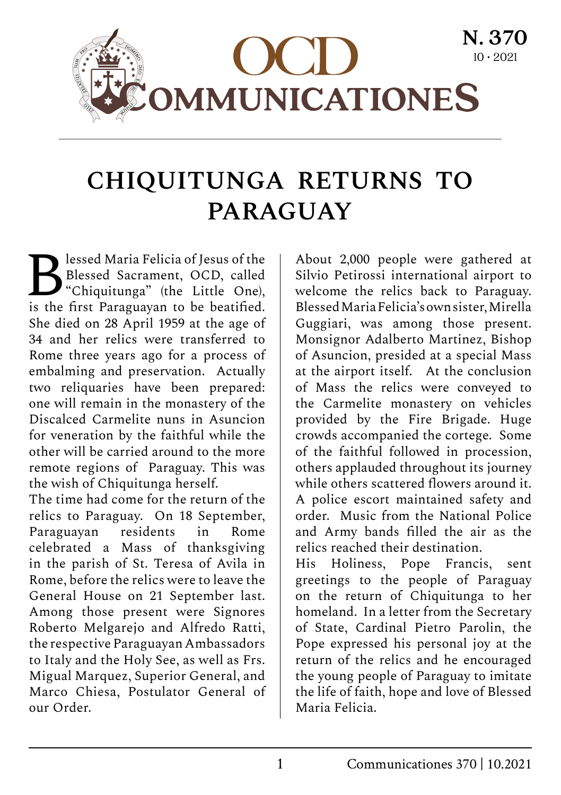

### **CHIQUITUNGA RETURNS TO PARAGUAY**

**B** lessed Maria Felicia of Jesus of the Blessed Sacrament, OCD, called "Chiquitunga" (the Little One), Blessed Sacrament, OCD, called is the first Paraguayan to be beatified. She died on 28 April 1959 at the age of 34 and her relics were transferred to Rome three years ago for a process of embalming and preservation. Actually two reliquaries have been prepared: one will remain in the monastery of the Discalced Carmelite nuns in Asuncion for veneration by the faithful while the other will be carried around to the more remote regions of Paraguay. This was the wish of Chiquitunga herself.

The time had come for the return of the relics to Paraguay. On 18 September, Paraguayan residents in Rome celebrated a Mass of thanksgiving in the parish of St. Teresa of Avila in Rome, before the relics were to leave the General House on 21 September last. Among those present were Signores Roberto Melgarejo and Alfredo Ratti, the respective Paraguayan Ambassadors to Italy and the Holy See, as well as Frs. Migual Marquez, Superior General, and Marco Chiesa, Postulator General of our Order.

About 2,000 people were gathered at Silvio Petirossi international airport to welcome the relics back to Paraguay. Blessed Maria Felicia's own sister, Mirella Guggiari, was among those present. Monsignor Adalberto Martinez, Bishop of Asuncion, presided at a special Mass at the airport itself. At the conclusion of Mass the relics were conveyed to the Carmelite monastery on vehicles provided by the Fire Brigade. Huge crowds accompanied the cortege. Some of the faithful followed in procession, others applauded throughout its journey while others scattered flowers around it. A police escort maintained safety and order. Music from the National Police and Army bands filled the air as the relics reached their destination.

His Holiness, Pope Francis, sent greetings to the people of Paraguay on the return of Chiquitunga to her homeland. In a letter from the Secretary of State, Cardinal Pietro Parolin, the Pope expressed his personal joy at the return of the relics and he encouraged the young people of Paraguay to imitate the life of faith, hope and love of Blessed Maria Felicia.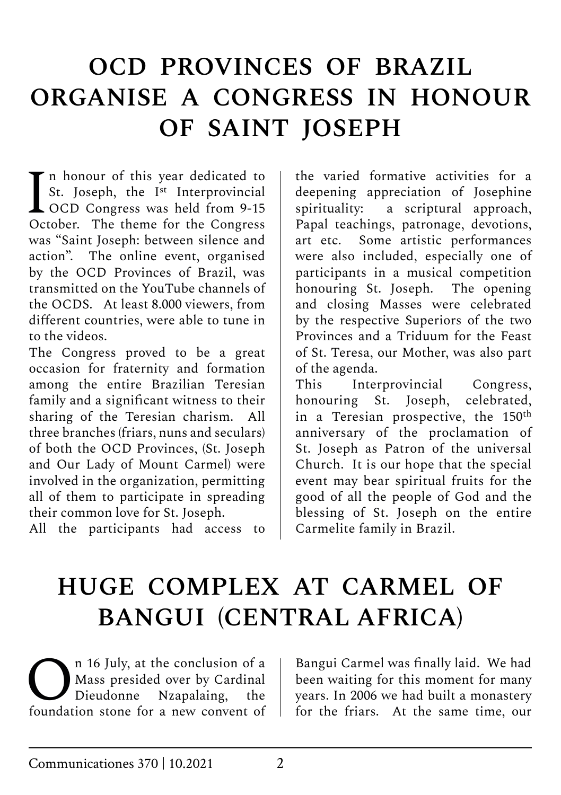# **OCD PROVINCES OF BRAZIL ORGANISE A CONGRESS IN HONOUR OF SAINT JOSEPH**

In honour of this year dedicated to<br>St. Joseph, the I<sup>st</sup> Interprovincial<br>OCD Congress was held from 9-15<br>October. The theme for the Congress St. Joseph, the I<sup>st</sup> Interprovincial  $\triangle$  OCD Congress was held from 9-15 October. The theme for the Congress was "Saint Joseph: between silence and action". The online event, organised by the OCD Provinces of Brazil, was transmitted on the YouTube channels of the OCDS. At least 8.000 viewers, from different countries, were able to tune in to the videos.

The Congress proved to be a great occasion for fraternity and formation among the entire Brazilian Teresian family and a significant witness to their sharing of the Teresian charism. All three branches (friars, nuns and seculars) of both the OCD Provinces, (St. Joseph and Our Lady of Mount Carmel) were involved in the organization, permitting all of them to participate in spreading their common love for St. Joseph.

All the participants had access to

the varied formative activities for a deepening appreciation of Josephine spirituality: a scriptural approach, Papal teachings, patronage, devotions, art etc. Some artistic performances were also included, especially one of participants in a musical competition honouring St. Joseph. The opening and closing Masses were celebrated by the respective Superiors of the two Provinces and a Triduum for the Feast of St. Teresa, our Mother, was also part of the agenda.

This Interprovincial Congress, honouring St. Joseph, celebrated, in a Teresian prospective, the 150<sup>th</sup> anniversary of the proclamation of St. Joseph as Patron of the universal Church. It is our hope that the special event may bear spiritual fruits for the good of all the people of God and the blessing of St. Joseph on the entire Carmelite family in Brazil.

# **HUGE COMPLEX AT CARMEL OF BANGUI (CENTRAL AFRICA)**

<sup>n</sup> 16 July, at the conclusion of a<br>Mass presided over by Cardinal<br>Dieudonne Nzapalaing, the Mass presided over by Cardinal Dieudonne Nzapalaing, the foundation stone for a new convent of

Bangui Carmel was finally laid. We had been waiting for this moment for many years. In 2006 we had built a monastery for the friars. At the same time, our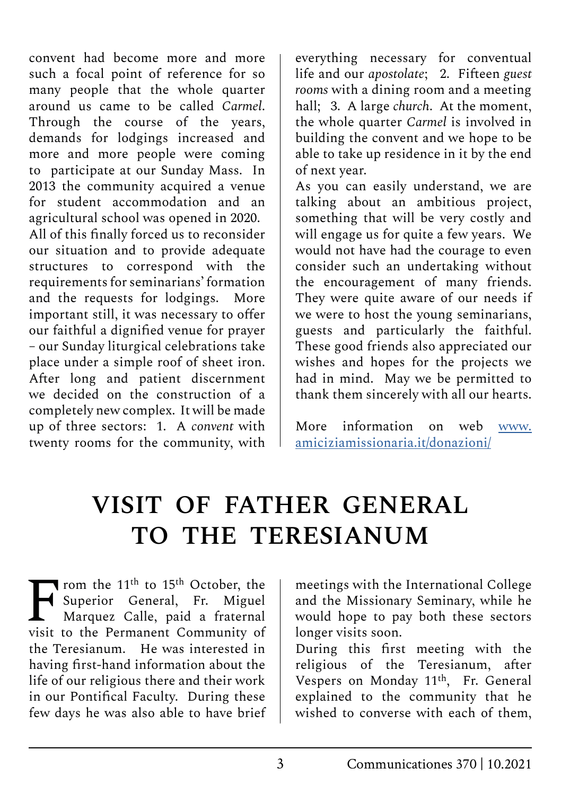convent had become more and more such a focal point of reference for so many people that the whole quarter around us came to be called *Carmel*. Through the course of the years, demands for lodgings increased and more and more people were coming to participate at our Sunday Mass. In 2013 the community acquired a venue for student accommodation and an agricultural school was opened in 2020.

All of this finally forced us to reconsider our situation and to provide adequate structures to correspond with the requirements for seminarians' formation and the requests for lodgings. More important still, it was necessary to offer our faithful a dignified venue for prayer – our Sunday liturgical celebrations take place under a simple roof of sheet iron. After long and patient discernment we decided on the construction of a completely new complex. It will be made up of three sectors: 1. A *convent* with twenty rooms for the community, with

everything necessary for conventual life and our *apostolate*; 2. Fifteen *guest rooms* with a dining room and a meeting hall; 3. A large *church*. At the moment, the whole quarter *Carmel* is involved in building the convent and we hope to be able to take up residence in it by the end of next year.

As you can easily understand, we are talking about an ambitious project, something that will be very costly and will engage us for quite a few years. We would not have had the courage to even consider such an undertaking without the encouragement of many friends. They were quite aware of our needs if we were to host the young seminarians, guests and particularly the faithful. These good friends also appreciated our wishes and hopes for the projects we had in mind. May we be permitted to thank them sincerely with all our hearts.

More information on web [www.](http://www.amiciziamissionaria.it/donazioni/) [amiciziamissionaria.it/donazioni/](http://www.amiciziamissionaria.it/donazioni/)

## **VISIT OF FATHER GENERAL TO THE TERESIANUM**

From the  $11<sup>th</sup>$  to  $15<sup>th</sup>$  October, the<br>Superior General, Fr. Miguel  $\blacktriangleleft$  Superior General, Fr. Marquez Calle, paid a fraternal visit to the Permanent Community of the Teresianum. He was interested in having first-hand information about the life of our religious there and their work in our Pontifical Faculty. During these few days he was also able to have brief

meetings with the International College and the Missionary Seminary, while he would hope to pay both these sectors longer visits soon.

During this first meeting with the religious of the Teresianum, after Vespers on Monday 11th, Fr. General explained to the community that he wished to converse with each of them.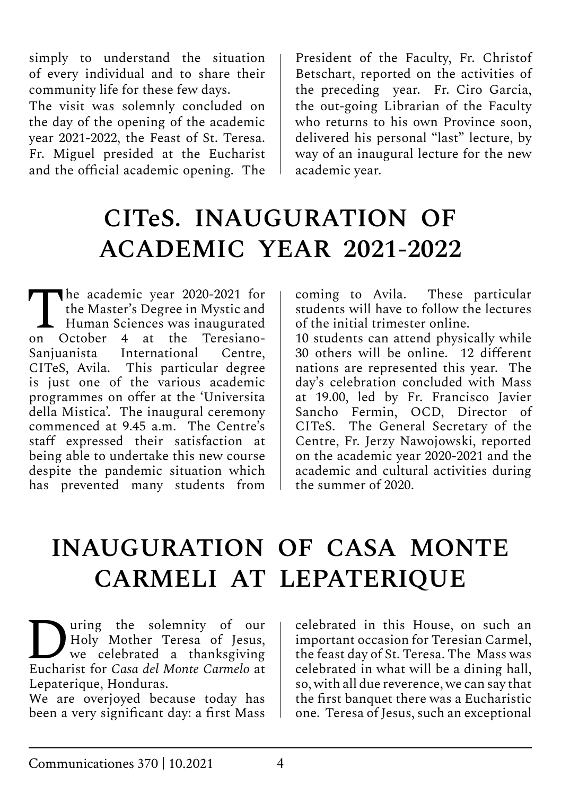simply to understand the situation of every individual and to share their community life for these few days.

The visit was solemnly concluded on the day of the opening of the academic year 2021-2022, the Feast of St. Teresa. Fr. Miguel presided at the Eucharist and the official academic opening. The

President of the Faculty, Fr. Christof Betschart, reported on the activities of the preceding year. Fr. Ciro Garcia, the out-going Librarian of the Faculty who returns to his own Province soon, delivered his personal "last" lecture, by way of an inaugural lecture for the new academic year.

# **CITeS. INAUGURATION OF ACADEMIC YEAR 2021-2022**

The academic year 2020-2021 for<br>the Master's Degree in Mystic and<br>Human Sciences was inaugurated<br>on October 4, at the Teresianothe Master's Degree in Mystic and on October 4 at the Teresiano-Sanjuanista International Centre, CITeS, Avila. This particular degree is just one of the various academic programmes on offer at the 'Universita della Mistica'. The inaugural ceremony commenced at 9.45 a.m. The Centre's staff expressed their satisfaction at being able to undertake this new course despite the pandemic situation which has prevented many students from

coming to Avila. These particular students will have to follow the lectures of the initial trimester online.

10 students can attend physically while 30 others will be online. 12 different nations are represented this year. The day's celebration concluded with Mass at 19.00, led by Fr. Francisco Javier Sancho Fermin, OCD, Director of CITeS. The General Secretary of the Centre, Fr. Jerzy Nawojowski, reported on the academic year 2020-2021 and the academic and cultural activities during the summer of 2020.

### **INAUGURATION OF CASA MONTE CARMELI AT LEPATERIQUE**

**During the solemnity of our**<br>
We celebrated a thanksgiving<br>
Fucharist for Casa del Monte Carmelo at Holy Mother Teresa of Jesus, Eucharist for *Casa del Monte Carmelo* at Lepaterique, Honduras.

We are overjoyed because today has been a very significant day: a first Mass celebrated in this House, on such an important occasion for Teresian Carmel, the feast day of St. Teresa. The Mass was celebrated in what will be a dining hall, so, with all due reverence, we can say that the first banquet there was a Eucharistic one. Teresa of Jesus, such an exceptional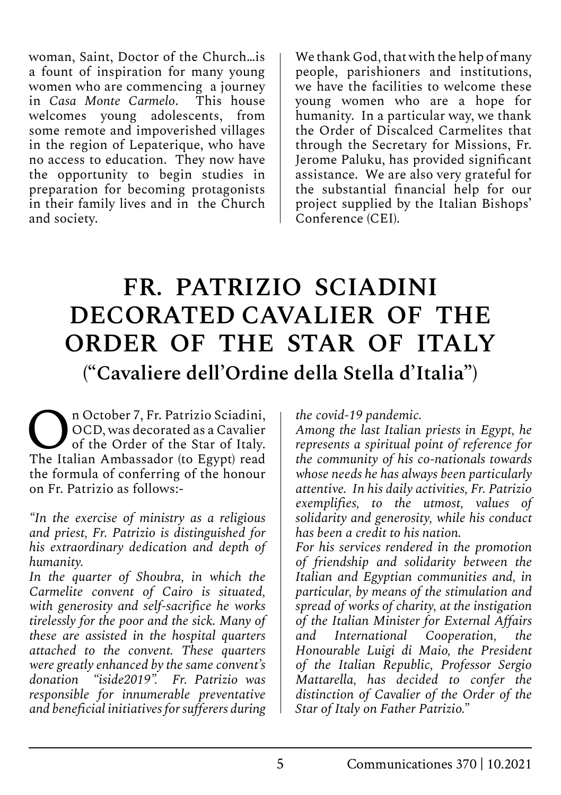woman, Saint, Doctor of the Church…is a fount of inspiration for many young women who are commencing a journey<br>in *Casa Monte Carmelo*. This house in *Casa Monte Carmelo*. welcomes young adolescents, from some remote and impoverished villages in the region of Lepaterique, who have no access to education. They now have the opportunity to begin studies in preparation for becoming protagonists in their family lives and in the Church and society.

We thank God, that with the help of many people, parishioners and institutions, we have the facilities to welcome these young women who are a hope for humanity. In a particular way, we thank the Order of Discalced Carmelites that through the Secretary for Missions, Fr. Jerome Paluku, has provided significant assistance. We are also very grateful for the substantial financial help for our project supplied by the Italian Bishops' Conference (CEI).

#### **FR. PATRIZIO SCIADINI DECORATED CAVALIER OF THE ORDER OF THE STAR OF ITALY ("Cavaliere dell'Ordine della Stella d'Italia")**

**OCO**, was decorated as a Cavalier<br>of the Order of the Star of Italy.<br>The Italian Ambassador (to Equat) read. OCD, was decorated as a Cavalier of the Order of the Star of Italy. The Italian Ambassador (to Egypt) read the formula of conferring of the honour on Fr. Patrizio as follows:-

*"In the exercise of ministry as a religious and priest, Fr. Patrizio is distinguished for his extraordinary dedication and depth of humanity.*

*In the quarter of Shoubra, in which the Carmelite convent of Cairo is situated, with generosity and self-sacrifice he works tirelessly for the poor and the sick. Many of these are assisted in the hospital quarters attached to the convent. These quarters were greatly enhanced by the same convent's donation "iside2019". Fr. Patrizio was responsible for innumerable preventative and beneficial initiatives for sufferers during*  *the covid-19 pandemic.*

*Among the last Italian priests in Egypt, he represents a spiritual point of reference for the community of his co-nationals towards whose needs he has always been particularly attentive. In his daily activities, Fr. Patrizio exemplifies, to the utmost, values of solidarity and generosity, while his conduct has been a credit to his nation.*

*For his services rendered in the promotion of friendship and solidarity between the Italian and Egyptian communities and, in particular, by means of the stimulation and spread of works of charity, at the instigation of the Italian Minister for External Affairs and International Cooperation, the Honourable Luigi di Maio, the President of the Italian Republic, Professor Sergio Mattarella, has decided to confer the distinction of Cavalier of the Order of the Star of Italy on Father Patrizio."*